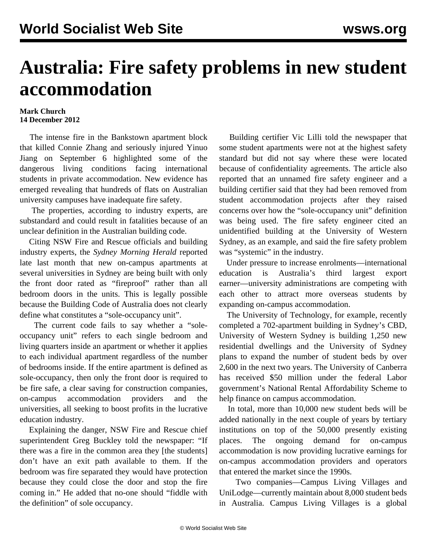## **Australia: Fire safety problems in new student accommodation**

## **Mark Church 14 December 2012**

 The intense fire in the Bankstown apartment block that killed Connie Zhang and seriously injured Yinuo Jiang on September 6 highlighted some of the dangerous living conditions facing international students in private accommodation. New evidence has emerged revealing that hundreds of flats on Australian university campuses have inadequate fire safety.

 The properties, according to industry experts, are substandard and could result in fatalities because of an unclear definition in the Australian building code.

 Citing NSW Fire and Rescue officials and building industry experts, the *Sydney Morning Herald* reported late last month that new on-campus apartments at several universities in Sydney are being built with only the front door rated as "fireproof" rather than all bedroom doors in the units. This is legally possible because the Building Code of Australia does not clearly define what constitutes a "sole-occupancy unit".

 The current code fails to say whether a "soleoccupancy unit" refers to each single bedroom and living quarters inside an apartment or whether it applies to each individual apartment regardless of the number of bedrooms inside. If the entire apartment is defined as sole-occupancy, then only the front door is required to be fire safe, a clear saving for construction companies, on-campus accommodation providers and the universities, all seeking to boost profits in the lucrative education industry.

 Explaining the danger, NSW Fire and Rescue chief superintendent Greg Buckley told the newspaper: "If there was a fire in the common area they [the students] don't have an exit path available to them. If the bedroom was fire separated they would have protection because they could close the door and stop the fire coming in." He added that no-one should "fiddle with the definition" of sole occupancy.

 Building certifier Vic Lilli told the newspaper that some student apartments were not at the highest safety standard but did not say where these were located because of confidentiality agreements. The article also reported that an unnamed fire safety engineer and a building certifier said that they had been removed from student accommodation projects after they raised concerns over how the "sole-occupancy unit" definition was being used. The fire safety engineer cited an unidentified building at the University of Western Sydney, as an example, and said the fire safety problem was "systemic" in the industry.

 Under pressure to increase enrolments—international education is Australia's third largest export earner—university administrations are competing with each other to attract more overseas students by expanding on-campus accommodation.

 The University of Technology, for example, recently completed a 702-apartment building in Sydney's CBD, University of Western Sydney is building 1,250 new residential dwellings and the University of Sydney plans to expand the number of student beds by over 2,600 in the next two years. The University of Canberra has received \$50 million under the federal Labor government's National Rental Affordability Scheme to help finance on campus accommodation.

 In total, more than 10,000 new student beds will be added nationally in the next couple of years by tertiary institutions on top of the 50,000 presently existing places. The ongoing demand for on-campus accommodation is now providing lucrative earnings for on-campus accommodation providers and operators that entered the market since the 1990s.

 Two companies—Campus Living Villages and UniLodge—currently maintain about 8,000 student beds in Australia. Campus Living Villages is a global